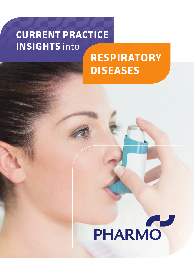## **CURRENT PRACTICE INSIGHTS** into

# **RESPIRATORY DISEASES**

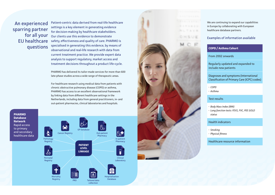An experienced sparring partner for all your EU healthcare questions

Patient-centric data derived from real-life healthcare settings is a key element in generating evidence for decision-making by healthcare stakeholders. Our clients use this evidence to demonstrate safety, effectiveness and quality of care. PHARMO is specialised in generating this evidence, by means of observational and real-life research with data from current treatment practice. We provide expert data analysis to support regulatory, market access and treatment decisions throughout a product life-cycle.

PHARMO has delivered its tailor-made services for more than 600 late-phase studies across a wide range of therapeutic areas.

For healthcare research using medical data from patients with chronic obstructive pulmonary disease (COPD) or asthma, PHARMO has access to an excellent observational framework by linking data from different healthcare settings in the Netherlands, including data from general practitioners, in- and out-patient pharmacies, clinical laboratories and hospitals.

**PHARMO Database Network** Rapid access to primary and secondary healthcare data





We are continuing to expand our capabilities in Europe by collaborating with European healthcare database partners.

### Examples of information available

## **COPD / Asthma Cohort**

From 2002 onwards

Regularly updated and expanded to include new patients

Diagnoses and symptoms (International Classification of Primary Care (ICPC) codes)

- *• COPD*
- *• Asthma*

#### Test results

- *• Body Mass Index (BMI)*
- *• Lung function tests: FEV1, FVC, PEF, GOLD status*

#### Health indicators

- 
- *• Smoking • Physical fitness*

Healthcare resource information